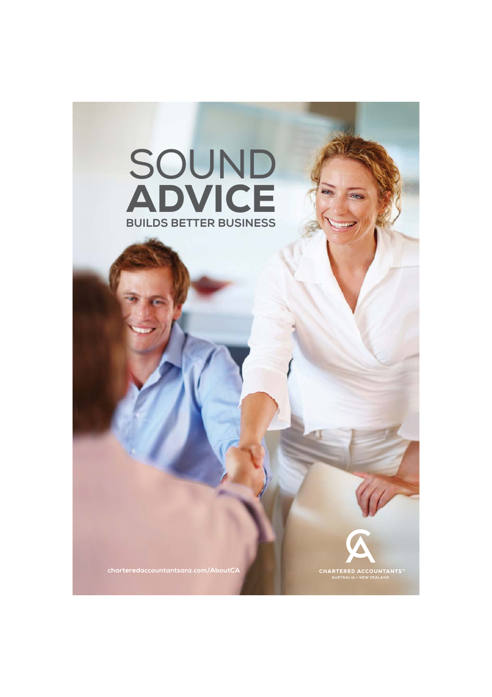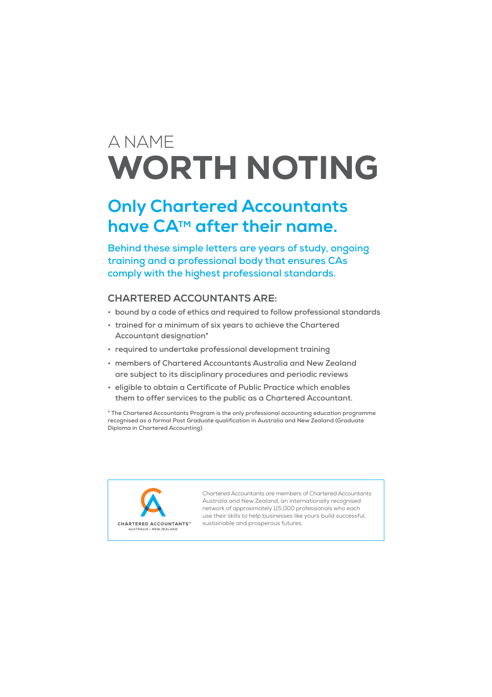# A NAME WORTH NOTING

### **Only Chartered Accountants**  have CA<sup>™</sup> after their name.

**Behind these simple letters are years of study, ongoing training and a professional body that ensures CAs comply with the highest professional standards.**

### **CHARTERED ACCOUNTANTS ARE:**

- **bound by a code of ethics and required to follow professional standards**
- **trained for a minimum of six years to achieve the Chartered Accountant designation\***
- **required to undertake professional development training**
- **members of Chartered Accountants Australia and New Zealand are subject to its disciplinary procedures and periodic reviews**
- **eligible to obtain a Certificate of Public Practice which enables them to offer services to the public as a Chartered Accountant.**

**\* The Chartered Accountants Program is the only professional accounting education programme recognised as a formal Post Graduate qualification in Australia and New Zealand (Graduate Diploma in Chartered Accounting).**



Chartered Accountants are members of Chartered Accountants Australia and New Zealand, an internationally recognised network of approximately 115,000 professionals who each use their skills to help businesses like yours build successful, sustainable and prosperous futures.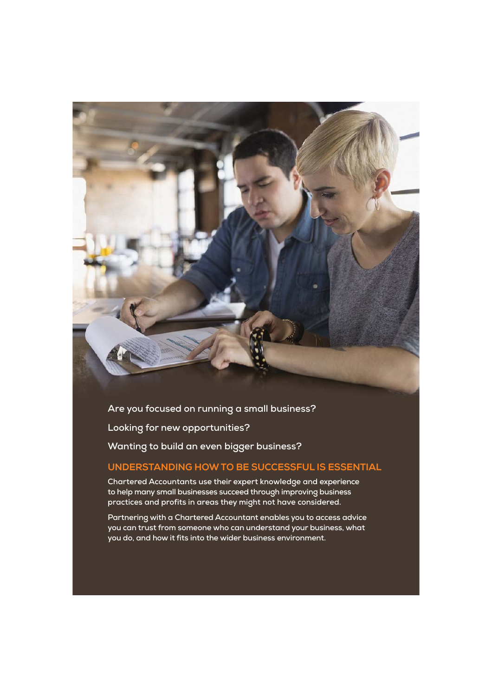**Are you focused on running a small business? Looking for new opportunities? Wanting to build an even bigger business?**

### **UNDERSTANDING HOW TO BE SUCCESSFUL IS ESSENTIAL**

**Chartered Accountants use their expert knowledge and experience to help many small businesses succeed through improving business practices and profits in areas they might not have considered.** 

**Partnering with a Chartered Accountant enables you to access advice you can trust from someone who can understand your business, what you do, and how it fits into the wider business environment.**